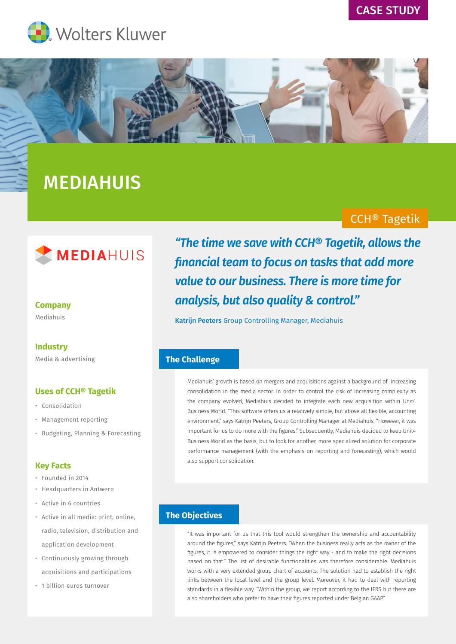# CASE STUDY





# MEDIAHUIS

# CCH® Tagetik



# **Company**

Mediahuis

## **Industry**

Media & advertising

## **Uses of CCH® Tagetik**

- Consolidation
- Management reporting
- Budgeting, Planning & Forecasting

#### **Key Facts**

- Founded in 2014
- Headquarters in Antwerp
- Active in 6 countries
- Active in all media: print, online, radio, television, distribution and application development
- Continuously growing through acquisitions and participations
- 1 billion euros turnover

*"The time we save with CCH® Tagetik, allows the financial team to focus on tasks that add more value to our business. There is more time for analysis, but also quality & control."* 

Katrijn Peeters Group Controlling Manager, Mediahuis

## **The Challenge**

Mediahuis' growth is based on mergers and acquisitions against a background of increasing consolidation in the media sector. In order to control the risk of increasing complexity as the company evolved, Mediahuis decided to integrate each new acquisition within Unit4 Business World. "This software offers us a relatively simple, but above all flexible, accounting environment," says Katrijn Peeters, Group Controlling Manager at Mediahuis. "However, it was important for us to do more with the figures." Subsequently, Mediahuis decided to keep Unit4 Business World as the basis, but to look for another, more specialized solution for corporate performance management (with the emphasis on reporting and forecasting), which would also support consolidation.

## **The Objectives**

"It was important for us that this tool would strengthen the ownership and accountability around the figures," says Katrijn Peeters. "When the business really acts as the owner of the figures, it is empowered to consider things the right way - and to make the right decisions based on that." The list of desirable functionalities was therefore considerable. Mediahuis works with a very extended group chart of accounts. The solution had to establish the right links between the local level and the group level. Moreover, it had to deal with reporting standards in a flexible way. "Within the group, we report according to the IFRS but there are also shareholders who prefer to have their figures reported under Belgian GAAP."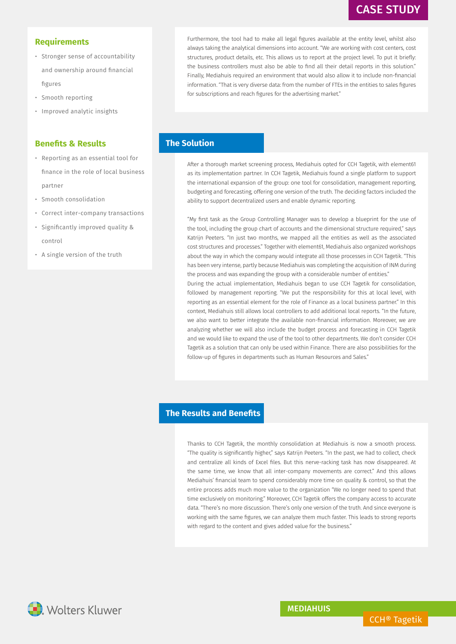# CASE STUDY

## **Requirements**

- Stronger sense of accountability and ownership around financial figures
- Smooth reporting
- Improved analytic insights

#### **Benefits & Results**

- Reporting as an essential tool for finance in the role of local business partner
- Smooth consolidation
- Correct inter-company transactions
- Significantly improved quality & control
- A single version of the truth

Furthermore, the tool had to make all legal figures available at the entity level, whilst also always taking the analytical dimensions into account. "We are working with cost centers, cost structures, product details, etc. This allows us to report at the project level. To put it briefly: the business controllers must also be able to find all their detail reports in this solution." Finally, Mediahuis required an environment that would also allow it to include non-financial information. "That is very diverse data: from the number of FTEs in the entities to sales figures for subscriptions and reach figures for the advertising market."

## **The Solution**

After a thorough market screening process, Mediahuis opted for CCH Tagetik, with element61 as its implementation partner. In CCH Tagetik, Mediahuis found a single platform to support the international expansion of the group: one tool for consolidation, management reporting, budgeting and forecasting, offering one version of the truth. The deciding factors included the ability to support decentralized users and enable dynamic reporting.

"My first task as the Group Controlling Manager was to develop a blueprint for the use of the tool, including the group chart of accounts and the dimensional structure required," says Katrijn Peeters. "In just two months, we mapped all the entities as well as the associated cost structures and processes." Together with element61, Mediahuis also organized workshops about the way in which the company would integrate all those processes in CCH Tagetik. "This has been very intense, partly because Mediahuis was completing the acquisition of INM during the process and was expanding the group with a considerable number of entities." During the actual implementation, Mediahuis began to use CCH Tagetik for consolidation, followed by management reporting. "We put the responsibility for this at local level, with reporting as an essential element for the role of Finance as a local business partner." In this context, Mediahuis still allows local controllers to add additional local reports. "In the future, we also want to better integrate the available non-financial information. Moreover, we are analyzing whether we will also include the budget process and forecasting in CCH Tagetik and we would like to expand the use of the tool to other departments. We don't consider CCH

Tagetik as a solution that can only be used within Finance. There are also possibilities for the

follow-up of figures in departments such as Human Resources and Sales."

#### **The Results and Benefits**

Thanks to CCH Tagetik, the monthly consolidation at Mediahuis is now a smooth process. "The quality is significantly higher," says Katrijn Peeters. "In the past, we had to collect, check and centralize all kinds of Excel files. But this nerve-racking task has now disappeared. At the same time, we know that all inter-company movements are correct." And this allows Mediahuis' financial team to spend considerably more time on quality & control, so that the entire process adds much more value to the organization "We no longer need to spend that time exclusively on monitoring." Moreover, CCH Tagetik offers the company access to accurate data. "There's no more discussion. There's only one version of the truth. And since everyone is working with the same figures, we can analyze them much faster. This leads to strong reports with regard to the content and gives added value for the business."